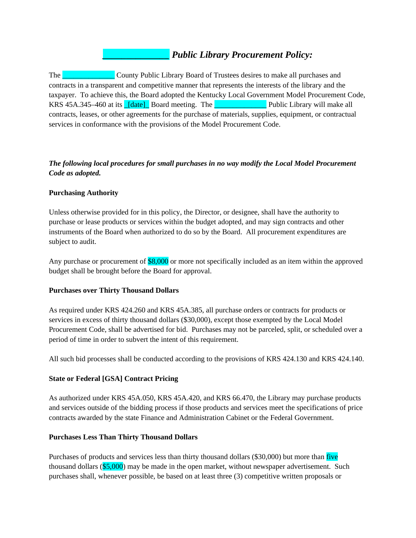# *\_\_\_\_\_\_\_\_\_\_\_\_\_\_ Public Library Procurement Policy:*

The **Example 2018** County Public Library Board of Trustees desires to make all purchases and contracts in a transparent and competitive manner that represents the interests of the library and the taxpayer. To achieve this, the Board adopted the Kentucky Local Government Model Procurement Code, KRS 45A.345–460 at its  $Idate$  Board meeting. The  $\Box$  Public Library will make all contracts, leases, or other agreements for the purchase of materials, supplies, equipment, or contractual services in conformance with the provisions of the Model Procurement Code.

## *The following local procedures for small purchases in no way modify the Local Model Procurement Code as adopted.*

## **Purchasing Authority**

Unless otherwise provided for in this policy, the Director, or designee, shall have the authority to purchase or lease products or services within the budget adopted, and may sign contracts and other instruments of the Board when authorized to do so by the Board. All procurement expenditures are subject to audit.

Any purchase or procurement of \$8,000 or more not specifically included as an item within the approved budget shall be brought before the Board for approval.

#### **Purchases over Thirty Thousand Dollars**

As required under KRS 424.260 and KRS 45A.385, all purchase orders or contracts for products or services in excess of thirty thousand dollars (\$30,000), except those exempted by the Local Model Procurement Code, shall be advertised for bid. Purchases may not be parceled, split, or scheduled over a period of time in order to subvert the intent of this requirement.

All such bid processes shall be conducted according to the provisions of KRS 424.130 and KRS 424.140.

## **State or Federal [GSA] Contract Pricing**

As authorized under KRS 45A.050, KRS 45A.420, and KRS 66.470, the Library may purchase products and services outside of the bidding process if those products and services meet the specifications of price contracts awarded by the state Finance and Administration Cabinet or the Federal Government.

## **Purchases Less Than Thirty Thousand Dollars**

Purchases of products and services less than thirty thousand dollars (\$30,000) but more than five thousand dollars (\$5,000) may be made in the open market, without newspaper advertisement. Such purchases shall, whenever possible, be based on at least three (3) competitive written proposals or